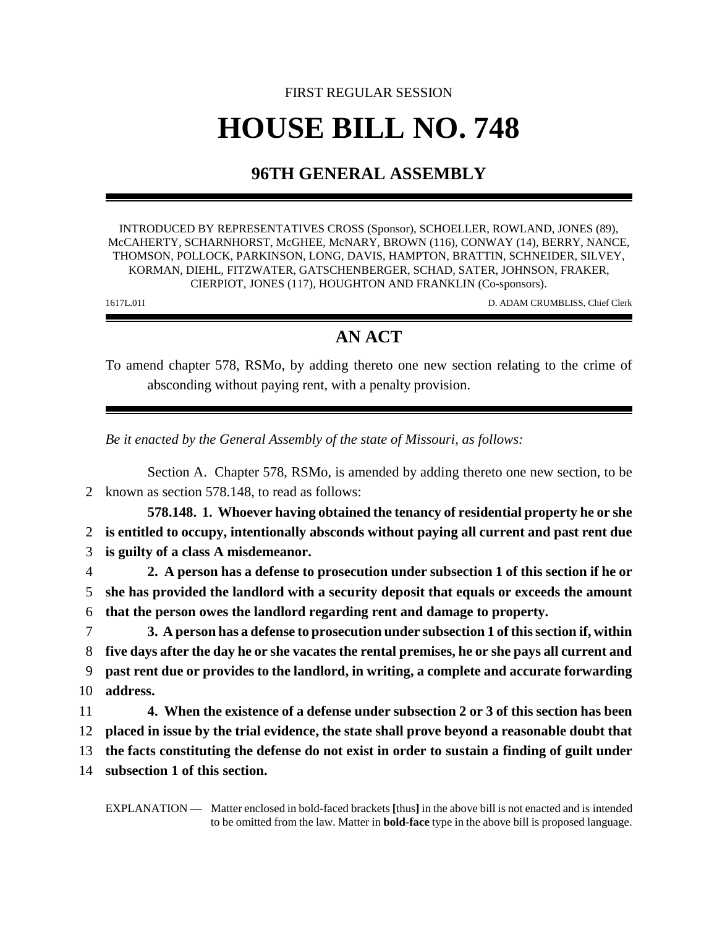## FIRST REGULAR SESSION **HOUSE BILL NO. 748**

## **96TH GENERAL ASSEMBLY**

INTRODUCED BY REPRESENTATIVES CROSS (Sponsor), SCHOELLER, ROWLAND, JONES (89), McCAHERTY, SCHARNHORST, McGHEE, McNARY, BROWN (116), CONWAY (14), BERRY, NANCE, THOMSON, POLLOCK, PARKINSON, LONG, DAVIS, HAMPTON, BRATTIN, SCHNEIDER, SILVEY, KORMAN, DIEHL, FITZWATER, GATSCHENBERGER, SCHAD, SATER, JOHNSON, FRAKER, CIERPIOT, JONES (117), HOUGHTON AND FRANKLIN (Co-sponsors).

1617L.01I D. ADAM CRUMBLISS, Chief Clerk

## **AN ACT**

To amend chapter 578, RSMo, by adding thereto one new section relating to the crime of absconding without paying rent, with a penalty provision.

*Be it enacted by the General Assembly of the state of Missouri, as follows:*

Section A. Chapter 578, RSMo, is amended by adding thereto one new section, to be 2 known as section 578.148, to read as follows:

**578.148. 1. Whoever having obtained the tenancy of residential property he or she** 2 **is entitled to occupy, intentionally absconds without paying all current and past rent due** 3 **is guilty of a class A misdemeanor.**

4 **2. A person has a defense to prosecution under subsection 1 of this section if he or** 5 **she has provided the landlord with a security deposit that equals or exceeds the amount** 6 **that the person owes the landlord regarding rent and damage to property.**

 **3. A person has a defense to prosecution under subsection 1 of this section if, within five days after the day he or she vacates the rental premises, he or she pays all current and past rent due or provides to the landlord, in writing, a complete and accurate forwarding** 10 **address.**

11 **4. When the existence of a defense under subsection 2 or 3 of this section has been** 12 **placed in issue by the trial evidence, the state shall prove beyond a reasonable doubt that**

13 **the facts constituting the defense do not exist in order to sustain a finding of guilt under**

14 **subsection 1 of this section.**

EXPLANATION — Matter enclosed in bold-faced brackets **[**thus**]** in the above bill is not enacted and is intended to be omitted from the law. Matter in **bold-face** type in the above bill is proposed language.